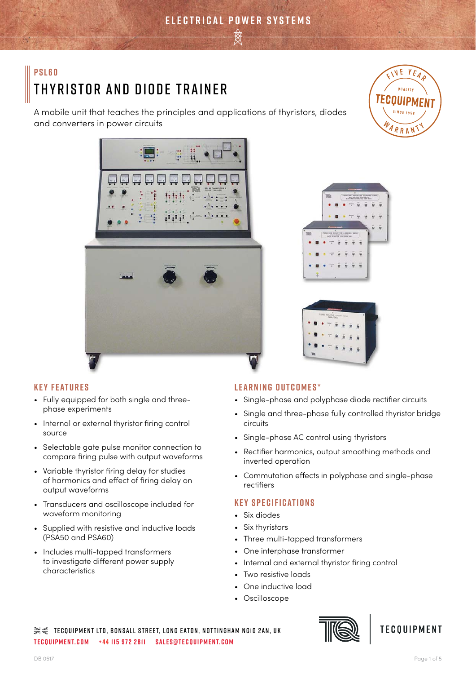A mobile unit that teaches the principles and applications of thyristors, diodes and converters in power circuits









# **Key Features**

- Fully equipped for both single and threephase experiments
- Internal or external thyristor firing control source
- Selectable gate pulse monitor connection to compare firing pulse with output waveforms
- Variable thyristor firing delay for studies of harmonics and effect of firing delay on output waveforms
- Transducers and oscilloscope included for waveform monitoring
- Supplied with resistive and inductive loads (PSA50 and PSA60)
- Includes multi-tapped transformers to investigate different power supply characteristics

# **Learning Outcomes\***

- Single-phase and polyphase diode rectifier circuits
- Single and three-phase fully controlled thyristor bridge circuits
- Single-phase AC control using thyristors
- Rectifier harmonics, output smoothing methods and inverted operation
- Commutation effects in polyphase and single-phase rectifiers

# **Key Specifications**

- Six diodes
- Six thyristors
- Three multi-tapped transformers
- One interphase transformer
- Internal and external thyristor firing control
- Two resistive loads
- One inductive load
- Oscilloscope

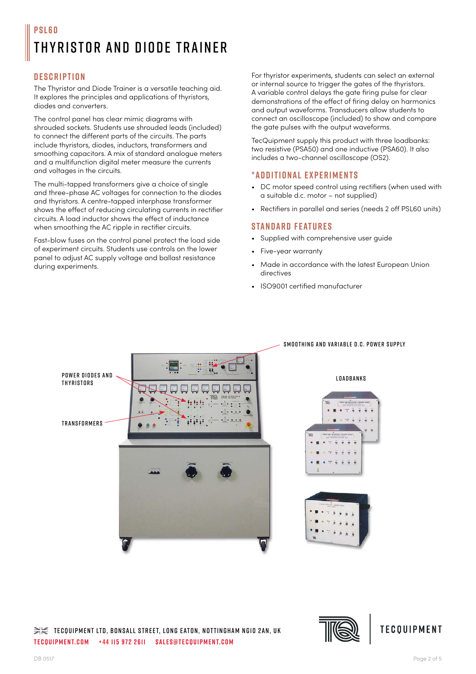# **Description**

The Thyristor and Diode Trainer is a versatile teaching aid. It explores the principles and applications of thyristors, diodes and converters.

The control panel has clear mimic diagrams with shrouded sockets. Students use shrouded leads (included) to connect the different parts of the circuits. The parts include thyristors, diodes, inductors, transformers and smoothing capacitors. A mix of standard analogue meters and a multifunction digital meter measure the currents and voltages in the circuits.

The multi-tapped transformers give a choice of single and three-phase AC voltages for connection to the diodes and thyristors. A centre-tapped interphase transformer shows the effect of reducing circulating currents in rectifier circuits. A load inductor shows the effect of inductance when smoothing the AC ripple in rectifier circuits.

Fast-blow fuses on the control panel protect the load side of experiment circuits. Students use controls on the lower panel to adjust AC supply voltage and ballast resistance during experiments.

For thyristor experiments, students can select an external or internal source to trigger the gates of the thyristors. A variable control delays the gate firing pulse for clear demonstrations of the effect of firing delay on harmonics and output waveforms. Transducers allow students to connect an oscilloscope (included) to show and compare the gate pulses with the output waveforms.

TecQuipment supply this product with three loadbanks: two resistive (PSA50) and one inductive (PSA60). It also includes a two-channel oscilloscope (OS2).

## **\*Additional experiments**

- DC motor speed control using rectifiers (when used with a suitable d.c. motor – not supplied)
- Rectifiers in parallel and series (needs 2 off PSL60 units)

## **Standard Features**

- Supplied with comprehensive user guide
- Five-year warranty
- Made in accordance with the latest European Union directives
- ISO9001 certified manufacturer



#### Smoothing and variable d.c. power supply

#### **LOADBANKS**





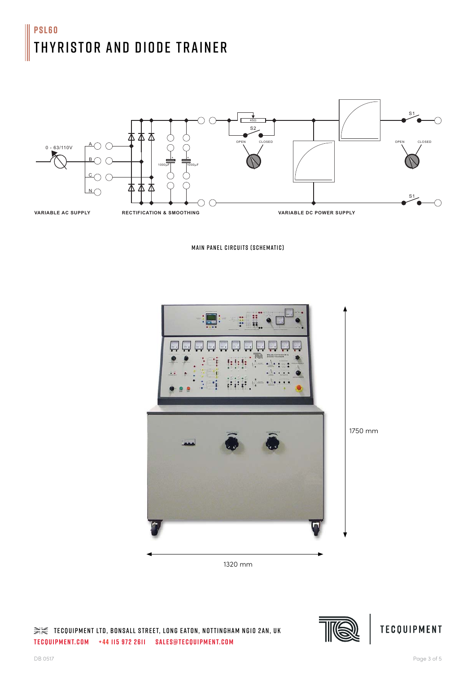

Main Panel Circuits (Schematic)



1320 mm





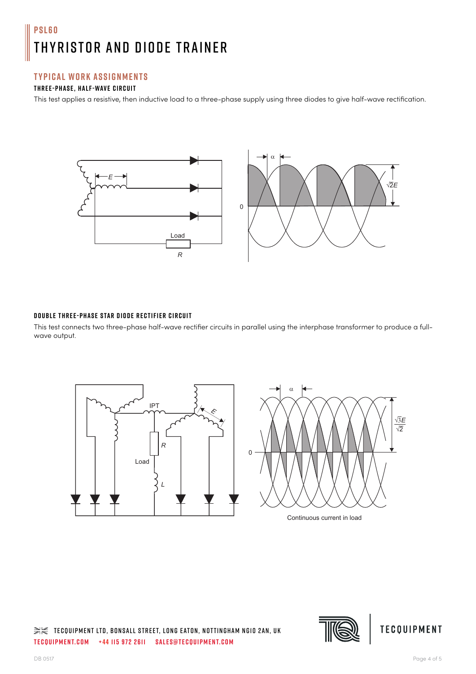## **Typical Work Assignments**

## **Three-phase, half-wave circuit**

This test applies a resistive, then inductive load to a three-phase supply using three diodes to give half-wave rectification.



#### **Double three-phase star diode rectifier circuit**

This test connects two three-phase half-wave rectifier circuits in parallel using the interphase transformer to produce a fullwave output.





Continuous current in load